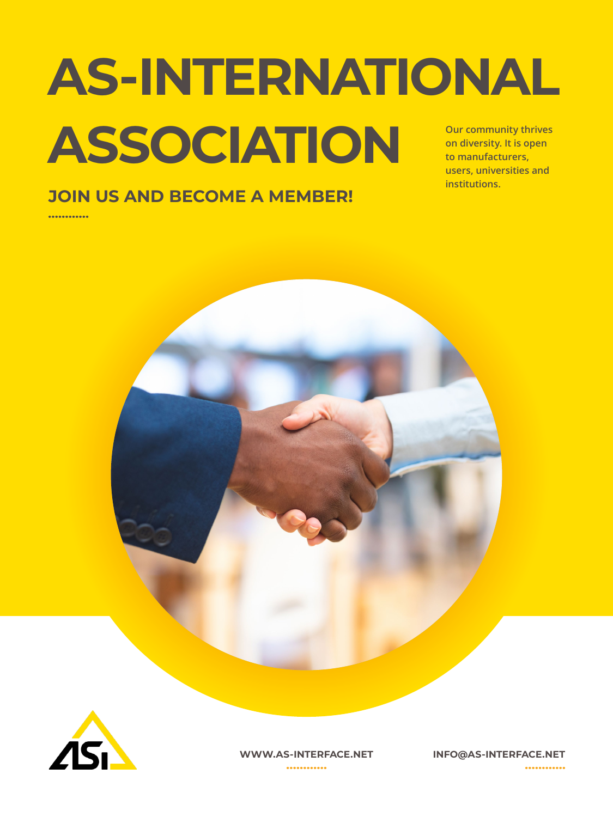## **Our community thrives on diversity. It is open to manufacturers, AS-INTERNATIONAL ASSOCIATION**

**users, universities and institutions.**

### **JOIN US AND BECOME A MEMBER!**

............





**WWW.AS-INTERFACE.NET INFO@AS-INTERFACE.NET**

............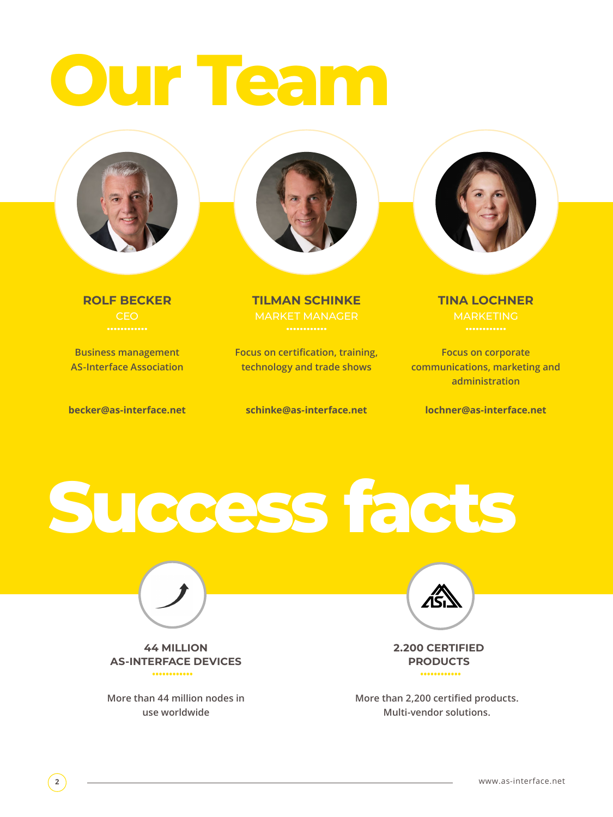## **Our Team**



. . . . . . . . . . . .

**Business management AS-Interface Association**

**becker@as-interface.net**



**ROLF BECKER TILMAN SCHINKE TINA LOCHNER CEO MARKET MANAGER MANAGER MARKETING** 

> **Focus on certification, training, technology and trade shows**

**schinke@as-interface.net**



**Focus on corporate communications, marketing and administration**

**lochner@as-interface.net**

**Success facts**



**44 MILLION AS-INTERFACE DEVICES** ............

**More than 44 million nodes in use worldwide**



**2.200 CERTIFIED PRODUCTS** ............

**More than 2,200 certified products. Multi-vendor solutions.**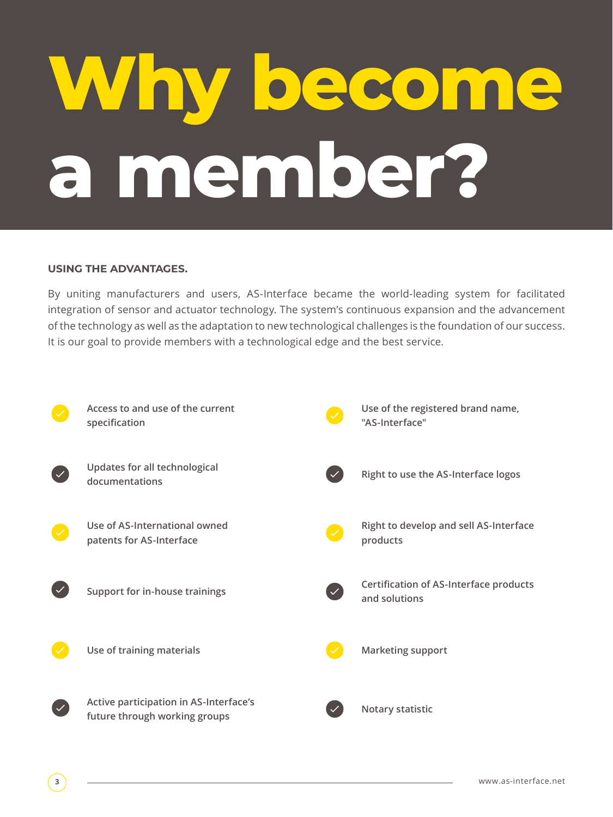# **Why become a member?**

#### **USING THE ADVANTAGES.**

By uniting manufacturers and users, AS-Interface became the world-leading system for facilitated integration of sensor and actuator technology. The system's continuous expansion and the advancement of the technology as well as the adaptation to new technological challenges is the foundation of our success. It is our goal to provide members with a technological edge and the best service.

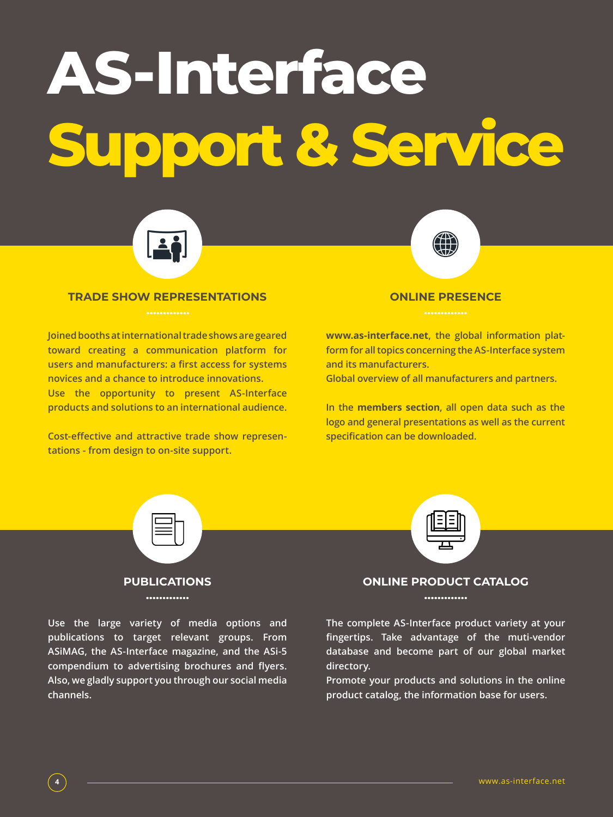## **AS-Interface Support & Service**



#### **TRADE SHOW REPRESENTATIONS ONLINE PRESENCE**

**Joined booths at international trade shows are geared toward creating a communication platform for users and manufacturers: a first access for systems novices and a chance to introduce innovations. Use the opportunity to present AS-Interface products and solutions to an international audience.**

**Cost-effective and attractive trade show representations - from design to on-site support.**



**www.as-interface.net, the global information platform for all topics concerning the AS-Interface system and its manufacturers.**

**Global overview of all manufacturers and partners.** 

**In the members section, all open data such as the logo and general presentations as well as the current specification can be downloaded.**



.............

**Use the large variety of media options and publications to target relevant groups. From ASiMAG, the AS-Interface magazine, and the ASi-5 compendium to advertising brochures and flyers. Also, we gladly support you through our social media channels.** 



#### **ONLINE PRODUCT CATALOG**

.............

**The complete AS-Interface product variety at your fingertips. Take advantage of the muti-vendor database and become part of our global market directory.**

**Promote your products and solutions in the online product catalog, the information base for users.**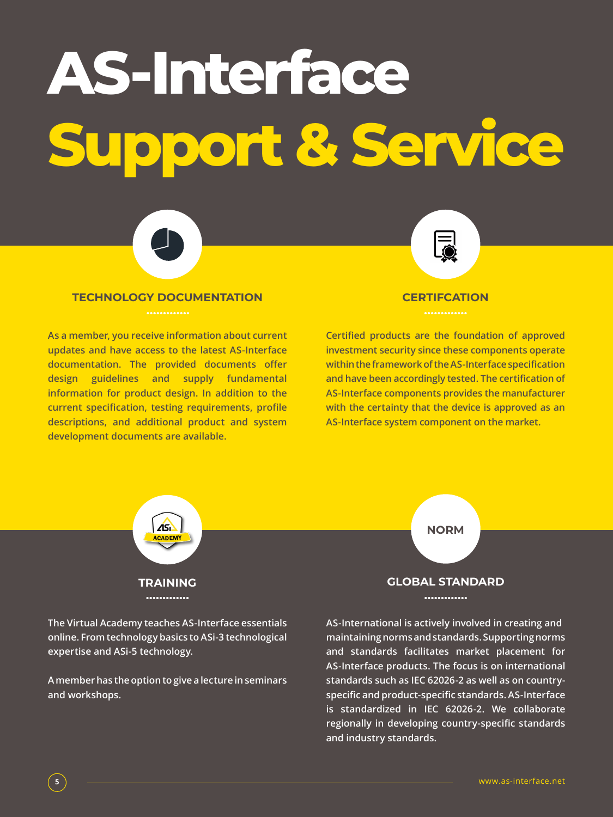## **AS-Interface Support & Service**



### **TECHNOLOGY DOCUMENTATION CERTIFCATION**

**As a member, you receive information about current updates and have access to the latest AS-Interface documentation. The provided documents offer design guidelines and supply fundamental information for product design. In addition to the current specification, testing requirements, profile descriptions, and additional product and system development documents are available.** 

**Certified products are the foundation of approved investment security since these components operate within the framework of the AS-Interface specification and have been accordingly tested. The certification of AS-Interface components provides the manufacturer with the certainty that the device is approved as an AS-Interface system component on the market.** 



**The Virtual Academy teaches AS-Interface essentials online. From technology basics to ASi-3 technological expertise and ASi-5 technology.** 

**A member has the option to give a lecture in seminars and workshops.**



#### **GLOBAL STANDARD**

.............

**AS-International is actively involved in creating and maintaining norms and standards. Supporting norms and standards facilitates market placement for AS-Interface products. The focus is on international standards such as IEC 62026-2 as well as on countryspecific and product-specific standards. AS-Interface is standardized in IEC 62026-2. We collaborate regionally in developing country-specific standards and industry standards.**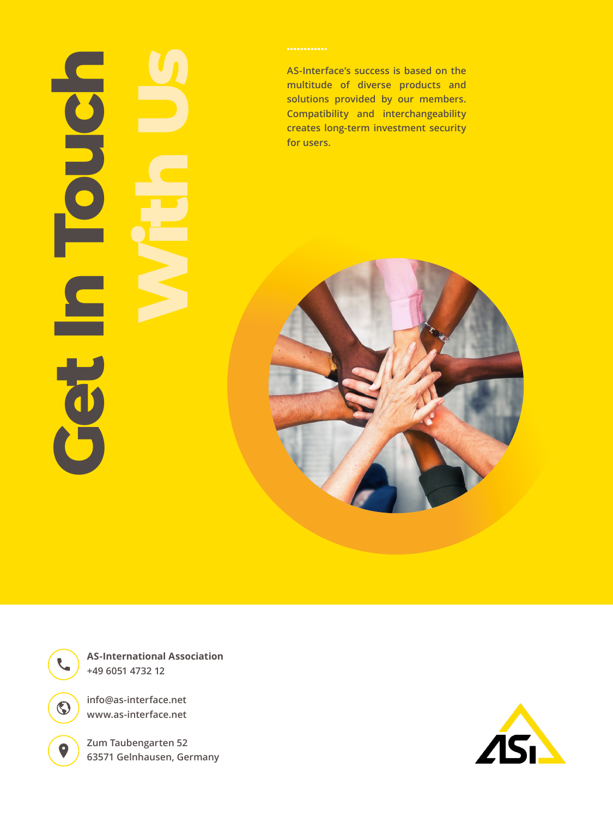# **Get In The Second Line With UsFO**

**AS-Interface's success is based on the multitude of diverse products and solutions provided by our members. Compatibility and interchangeability creates long-term investment security for users.**



**AS-International Association +49 6051 4732 12**

**info@as-interface.net www.as-interface.net**

 $\odot$ 

 $\bullet$ 

**Zum Taubengarten 52 63571 Gelnhausen, Germany**